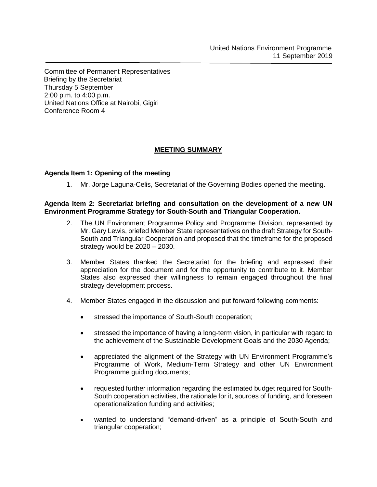Committee of Permanent Representatives Briefing by the Secretariat Thursday 5 September 2:00 p.m. to 4:00 p.m. United Nations Office at Nairobi, Gigiri Conference Room 4

## **MEETING SUMMARY**

## **Agenda Item 1: Opening of the meeting**

1. Mr. Jorge Laguna-Celis, Secretariat of the Governing Bodies opened the meeting.

## **Agenda Item 2: Secretariat briefing and consultation on the development of a new UN Environment Programme Strategy for South-South and Triangular Cooperation.**

- 2. The UN Environment Programme Policy and Programme Division, represented by Mr. Gary Lewis, briefed Member State representatives on the draft Strategy for South-South and Triangular Cooperation and proposed that the timeframe for the proposed strategy would be 2020 – 2030.
- 3. Member States thanked the Secretariat for the briefing and expressed their appreciation for the document and for the opportunity to contribute to it. Member States also expressed their willingness to remain engaged throughout the final strategy development process.
- 4. Member States engaged in the discussion and put forward following comments:
	- stressed the importance of South-South cooperation;
	- stressed the importance of having a long-term vision, in particular with regard to the achievement of the Sustainable Development Goals and the 2030 Agenda;
	- appreciated the alignment of the Strategy with UN Environment Programme's Programme of Work, Medium-Term Strategy and other UN Environment Programme guiding documents;
	- requested further information regarding the estimated budget required for South-South cooperation activities, the rationale for it, sources of funding, and foreseen operationalization funding and activities;
	- wanted to understand "demand-driven" as a principle of South-South and triangular cooperation;